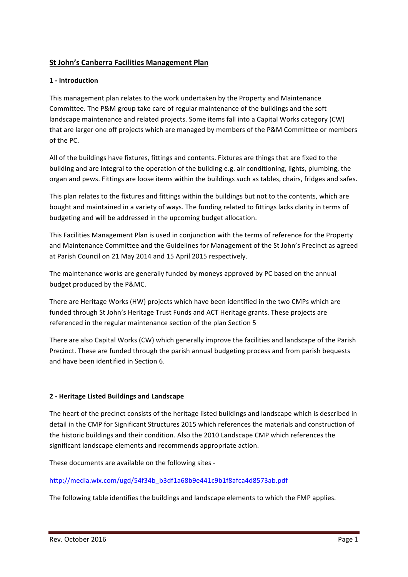## **St John's Canberra Facilities Management Plan**

#### **1 - Introduction**

This management plan relates to the work undertaken by the Property and Maintenance Committee. The P&M group take care of regular maintenance of the buildings and the soft landscape maintenance and related projects. Some items fall into a Capital Works category (CW) that are larger one off projects which are managed by members of the P&M Committee or members of the PC.

All of the buildings have fixtures, fittings and contents. Fixtures are things that are fixed to the building and are integral to the operation of the building e.g. air conditioning, lights, plumbing, the organ and pews. Fittings are loose items within the buildings such as tables, chairs, fridges and safes.

This plan relates to the fixtures and fittings within the buildings but not to the contents, which are bought and maintained in a variety of ways. The funding related to fittings lacks clarity in terms of budgeting and will be addressed in the upcoming budget allocation.

This Facilities Management Plan is used in conjunction with the terms of reference for the Property and Maintenance Committee and the Guidelines for Management of the St John's Precinct as agreed at Parish Council on 21 May 2014 and 15 April 2015 respectively.

The maintenance works are generally funded by moneys approved by PC based on the annual budget produced by the P&MC.

There are Heritage Works (HW) projects which have been identified in the two CMPs which are funded through St John's Heritage Trust Funds and ACT Heritage grants. These projects are referenced in the regular maintenance section of the plan Section 5

There are also Capital Works (CW) which generally improve the facilities and landscape of the Parish Precinct. These are funded through the parish annual budgeting process and from parish bequests and have been identified in Section 6.

## **2 - Heritage Listed Buildings and Landscape**

The heart of the precinct consists of the heritage listed buildings and landscape which is described in detail in the CMP for Significant Structures 2015 which references the materials and construction of the historic buildings and their condition. Also the 2010 Landscape CMP which references the significant landscape elements and recommends appropriate action.

These documents are available on the following sites -

http://media.wix.com/ugd/54f34b\_b3df1a68b9e441c9b1f8afca4d8573ab.pdf

The following table identifies the buildings and landscape elements to which the FMP applies.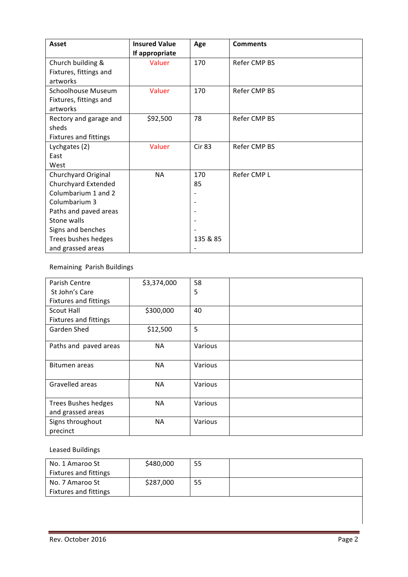| Asset                        | <b>Insured Value</b> | Age           | <b>Comments</b> |
|------------------------------|----------------------|---------------|-----------------|
|                              | If appropriate       |               |                 |
| Church building &            | Valuer               | 170           | Refer CMP BS    |
| Fixtures, fittings and       |                      |               |                 |
| artworks                     |                      |               |                 |
| Schoolhouse Museum           | Valuer               | 170           | Refer CMP BS    |
| Fixtures, fittings and       |                      |               |                 |
| artworks                     |                      |               |                 |
| Rectory and garage and       | \$92,500             | 78            | Refer CMP BS    |
| sheds                        |                      |               |                 |
| <b>Fixtures and fittings</b> |                      |               |                 |
| Lychgates (2)                | Valuer               | <b>Cir 83</b> | Refer CMP BS    |
| East                         |                      |               |                 |
| West                         |                      |               |                 |
| Churchyard Original          | NA                   | 170           | Refer CMP L     |
| Churchyard Extended          |                      | 85            |                 |
| Columbarium 1 and 2          |                      |               |                 |
| Columbarium 3                |                      |               |                 |
| Paths and paved areas        |                      |               |                 |
| Stone walls                  |                      |               |                 |
| Signs and benches            |                      |               |                 |
| Trees bushes hedges          |                      | 135 & 85      |                 |
| and grassed areas            |                      |               |                 |

Remaining Parish Buildings

| Parish Centre                                   | \$3,374,000 | 58      |  |
|-------------------------------------------------|-------------|---------|--|
| St John's Care                                  |             | 5       |  |
| <b>Fixtures and fittings</b>                    |             |         |  |
| Scout Hall                                      | \$300,000   | 40      |  |
| <b>Fixtures and fittings</b>                    |             |         |  |
| Garden Shed                                     | \$12,500    | 5       |  |
| Paths and paved areas                           | <b>NA</b>   | Various |  |
| Bitumen areas                                   | <b>NA</b>   | Various |  |
|                                                 |             |         |  |
| Gravelled areas                                 | <b>NA</b>   | Various |  |
| <b>Trees Bushes hedges</b><br>and grassed areas | <b>NA</b>   | Various |  |
| Signs throughout<br>precinct                    | <b>NA</b>   | Various |  |

# Leased Buildings

| No. 1 Amaroo St              | \$480,000 | 55 |  |
|------------------------------|-----------|----|--|
| <b>Fixtures and fittings</b> |           |    |  |
| No. 7 Amaroo St              | \$287,000 | 55 |  |
| Fixtures and fittings        |           |    |  |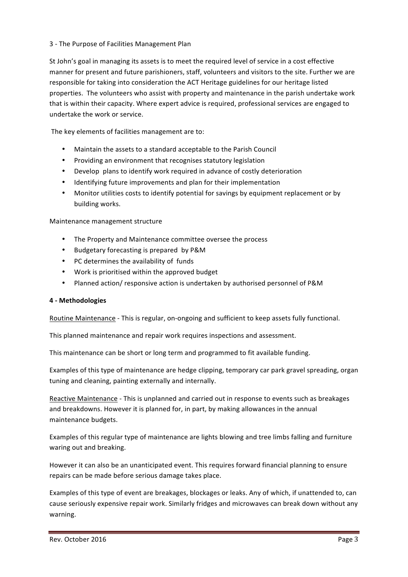#### 3 - The Purpose of Facilities Management Plan

St John's goal in managing its assets is to meet the required level of service in a cost effective manner for present and future parishioners, staff, volunteers and visitors to the site. Further we are responsible for taking into consideration the ACT Heritage guidelines for our heritage listed properties. The volunteers who assist with property and maintenance in the parish undertake work that is within their capacity. Where expert advice is required, professional services are engaged to undertake the work or service.

The key elements of facilities management are to:

- Maintain the assets to a standard acceptable to the Parish Council
- Providing an environment that recognises statutory legislation
- Develop plans to identify work required in advance of costly deterioration
- Identifying future improvements and plan for their implementation
- Monitor utilities costs to identify potential for savings by equipment replacement or by building works.

Maintenance management structure

- The Property and Maintenance committee oversee the process
- Budgetary forecasting is prepared by P&M
- PC determines the availability of funds
- Work is prioritised within the approved budget
- Planned action/ responsive action is undertaken by authorised personnel of P&M

#### **4 - Methodologies**

Routine Maintenance - This is regular, on-ongoing and sufficient to keep assets fully functional.

This planned maintenance and repair work requires inspections and assessment.

This maintenance can be short or long term and programmed to fit available funding.

Examples of this type of maintenance are hedge clipping, temporary car park gravel spreading, organ tuning and cleaning, painting externally and internally.

Reactive Maintenance - This is unplanned and carried out in response to events such as breakages and breakdowns. However it is planned for, in part, by making allowances in the annual maintenance budgets.

Examples of this regular type of maintenance are lights blowing and tree limbs falling and furniture waring out and breaking.

However it can also be an unanticipated event. This requires forward financial planning to ensure repairs can be made before serious damage takes place.

Examples of this type of event are breakages, blockages or leaks. Any of which, if unattended to, can cause seriously expensive repair work. Similarly fridges and microwaves can break down without any warning.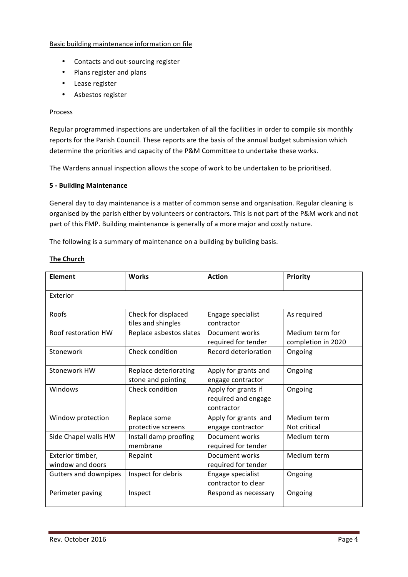#### Basic building maintenance information on file

- Contacts and out-sourcing register
- Plans register and plans
- Lease register
- Asbestos register

#### Process

Regular programmed inspections are undertaken of all the facilities in order to compile six monthly reports for the Parish Council. These reports are the basis of the annual budget submission which determine the priorities and capacity of the P&M Committee to undertake these works.

The Wardens annual inspection allows the scope of work to be undertaken to be prioritised.

#### **5 - Building Maintenance**

General day to day maintenance is a matter of common sense and organisation. Regular cleaning is organised by the parish either by volunteers or contractors. This is not part of the P&M work and not part of this FMP. Building maintenance is generally of a more major and costly nature.

The following is a summary of maintenance on a building by building basis.

#### **The Church**

| <b>Element</b>                       | <b>Works</b>                                | <b>Action</b>                                            | <b>Priority</b>                       |  |  |  |
|--------------------------------------|---------------------------------------------|----------------------------------------------------------|---------------------------------------|--|--|--|
| Exterior                             |                                             |                                                          |                                       |  |  |  |
| Roofs                                | Check for displaced<br>tiles and shingles   | Engage specialist<br>contractor                          | As required                           |  |  |  |
| Roof restoration HW                  | Replace asbestos slates                     | Document works<br>required for tender                    | Medium term for<br>completion in 2020 |  |  |  |
| Stonework                            | Check condition                             | Record deterioration                                     | Ongoing                               |  |  |  |
| Stonework HW                         | Replace deteriorating<br>stone and pointing | Apply for grants and<br>engage contractor                | Ongoing                               |  |  |  |
| Windows                              | Check condition                             | Apply for grants if<br>required and engage<br>contractor | Ongoing                               |  |  |  |
| Window protection                    | Replace some<br>protective screens          | Apply for grants and<br>engage contractor                | Medium term<br>Not critical           |  |  |  |
| Side Chapel walls HW                 | Install damp proofing<br>membrane           | Document works<br>required for tender                    | Medium term                           |  |  |  |
| Exterior timber,<br>window and doors | Repaint                                     | Document works<br>required for tender                    | Medium term                           |  |  |  |
| <b>Gutters and downpipes</b>         | Inspect for debris                          | Engage specialist<br>contractor to clear                 | Ongoing                               |  |  |  |
| Perimeter paving                     | Inspect                                     | Respond as necessary                                     | Ongoing                               |  |  |  |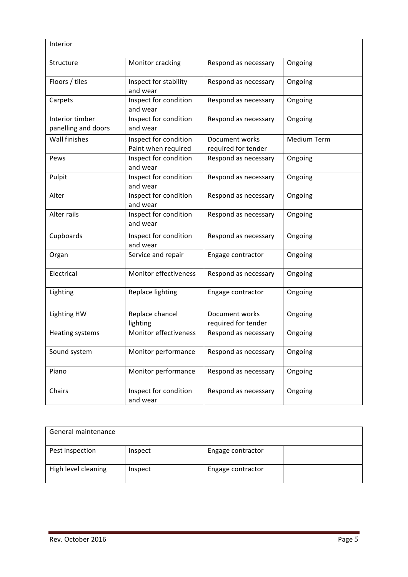| Interior                               |                                              |                                       |                    |
|----------------------------------------|----------------------------------------------|---------------------------------------|--------------------|
| Structure                              | Monitor cracking                             | Respond as necessary                  | Ongoing            |
| Floors / tiles                         | Inspect for stability<br>and wear            | Respond as necessary                  | Ongoing            |
| Carpets                                | Inspect for condition<br>and wear            | Respond as necessary                  | Ongoing            |
| Interior timber<br>panelling and doors | Inspect for condition<br>and wear            | Respond as necessary                  | Ongoing            |
| Wall finishes                          | Inspect for condition<br>Paint when required | Document works<br>required for tender | <b>Medium Term</b> |
| Pews                                   | Inspect for condition<br>and wear            | Respond as necessary                  | Ongoing            |
| Pulpit                                 | Inspect for condition<br>and wear            | Respond as necessary                  | Ongoing            |
| Alter                                  | Inspect for condition<br>and wear            | Respond as necessary                  | Ongoing            |
| Alter rails                            | Inspect for condition<br>and wear            | Respond as necessary                  | Ongoing            |
| Cupboards                              | Inspect for condition<br>and wear            | Respond as necessary                  | Ongoing            |
| Organ                                  | Service and repair                           | Engage contractor                     | Ongoing            |
| Electrical                             | Monitor effectiveness                        | Respond as necessary                  | Ongoing            |
| Lighting                               | Replace lighting                             | Engage contractor                     | Ongoing            |
| <b>Lighting HW</b>                     | Replace chancel<br>lighting                  | Document works<br>required for tender | Ongoing            |
| Heating systems                        | <b>Monitor effectiveness</b>                 | Respond as necessary                  | Ongoing            |
| Sound system                           | Monitor performance                          | Respond as necessary                  | Ongoing            |
| Piano                                  | Monitor performance                          | Respond as necessary                  | Ongoing            |
| Chairs                                 | Inspect for condition<br>and wear            | Respond as necessary                  | Ongoing            |

| General maintenance |         |                   |  |
|---------------------|---------|-------------------|--|
| Pest inspection     | Inspect | Engage contractor |  |
| High level cleaning | Inspect | Engage contractor |  |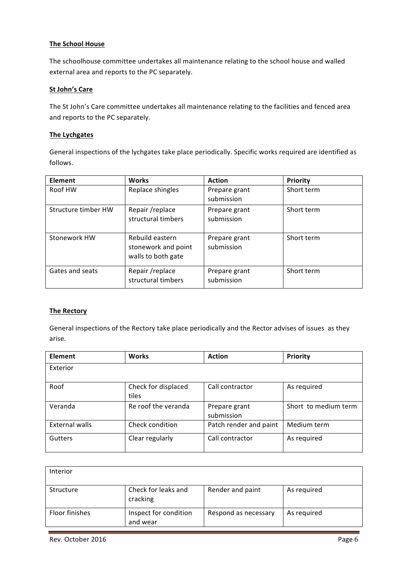#### **The School House**

The schoolhouse committee undertakes all maintenance relating to the school house and walled external area and reports to the PC separately.

#### **St John's Care**

The St John's Care committee undertakes all maintenance relating to the facilities and fenced area and reports to the PC separately.

#### **The Lychgates**

General inspections of the lychgates take place periodically. Specific works required are identified as follows.

| Element             | <b>Works</b>                                                 | <b>Action</b>               | <b>Priority</b> |
|---------------------|--------------------------------------------------------------|-----------------------------|-----------------|
| Roof HW             | Replace shingles                                             | Prepare grant<br>submission | Short term      |
| Structure timber HW | Repair/replace<br>structural timbers                         | Prepare grant<br>submission | Short term      |
| Stonework HW        | Rebuild eastern<br>stonework and point<br>walls to both gate | Prepare grant<br>submission | Short term      |
| Gates and seats     | Repair / replace<br>structural timbers                       | Prepare grant<br>submission | Short term      |

#### **The Rectory**

General inspections of the Rectory take place periodically and the Rector advises of issues as they arise.

| Element        | <b>Works</b>                 | <b>Action</b>               | Priority             |
|----------------|------------------------------|-----------------------------|----------------------|
| Exterior       |                              |                             |                      |
| Roof           | Check for displaced<br>tiles | Call contractor             | As required          |
| Veranda        | Re roof the veranda          | Prepare grant<br>submission | Short to medium term |
| External walls | Check condition              | Patch render and paint      | Medium term          |
| Gutters        | Clear regularly              | Call contractor             | As required          |

| <b>Interior</b> |                                   |                      |             |
|-----------------|-----------------------------------|----------------------|-------------|
| Structure       | Check for leaks and<br>cracking   | Render and paint     | As required |
| Floor finishes  | Inspect for condition<br>and wear | Respond as necessary | As required |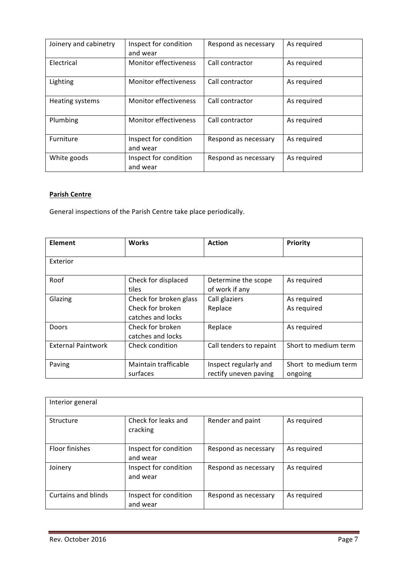| Joinery and cabinetry | Inspect for condition<br>and wear | Respond as necessary | As required |
|-----------------------|-----------------------------------|----------------------|-------------|
| Electrical            | Monitor effectiveness             | Call contractor      | As required |
| Lighting              | <b>Monitor effectiveness</b>      | Call contractor      | As required |
| Heating systems       | <b>Monitor effectiveness</b>      | Call contractor      | As required |
| Plumbing              | Monitor effectiveness             | Call contractor      | As required |
| Furniture             | Inspect for condition<br>and wear | Respond as necessary | As required |
| White goods           | Inspect for condition<br>and wear | Respond as necessary | As required |

## **Parish Centre**

General inspections of the Parish Centre take place periodically.

| Element                   | <b>Works</b>                                                    | <b>Action</b>                                  | Priority                        |
|---------------------------|-----------------------------------------------------------------|------------------------------------------------|---------------------------------|
| Exterior                  |                                                                 |                                                |                                 |
| Roof                      | Check for displaced<br>tiles                                    | Determine the scope<br>of work if any          | As required                     |
| Glazing                   | Check for broken glass<br>Check for broken<br>catches and locks | Call glaziers<br>Replace                       | As required<br>As required      |
| Doors                     | Check for broken<br>catches and locks                           | Replace                                        | As required                     |
| <b>External Paintwork</b> | Check condition                                                 | Call tenders to repaint                        | Short to medium term            |
| Paving                    | Maintain trafficable<br>surfaces                                | Inspect regularly and<br>rectify uneven paving | Short to medium term<br>ongoing |

| Interior general      |                                   |                      |             |
|-----------------------|-----------------------------------|----------------------|-------------|
| Structure             | Check for leaks and<br>cracking   | Render and paint     | As required |
| <b>Floor finishes</b> | Inspect for condition<br>and wear | Respond as necessary | As required |
| Joinery               | Inspect for condition<br>and wear | Respond as necessary | As required |
| Curtains and blinds   | Inspect for condition<br>and wear | Respond as necessary | As required |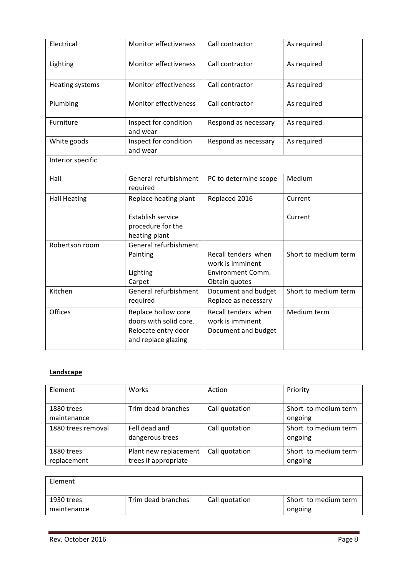| Electrical          | Monitor effectiveness                                                                       | Call contractor                                                                      | As required          |
|---------------------|---------------------------------------------------------------------------------------------|--------------------------------------------------------------------------------------|----------------------|
| Lighting            | Monitor effectiveness                                                                       | Call contractor                                                                      | As required          |
| Heating systems     | Monitor effectiveness                                                                       | Call contractor                                                                      | As required          |
| Plumbing            | <b>Monitor effectiveness</b>                                                                | Call contractor                                                                      | As required          |
| Furniture           | Inspect for condition<br>and wear                                                           | Respond as necessary                                                                 | As required          |
| White goods         | Inspect for condition<br>and wear                                                           | Respond as necessary                                                                 | As required          |
| Interior specific   |                                                                                             |                                                                                      |                      |
| Hall                | General refurbishment<br>required                                                           | PC to determine scope                                                                | Medium               |
| <b>Hall Heating</b> | Replace heating plant                                                                       | Replaced 2016                                                                        | Current              |
|                     | Establish service<br>procedure for the<br>heating plant                                     |                                                                                      | Current              |
| Robertson room      | General refurbishment<br>Painting<br>Lighting<br>Carpet                                     | Recall tenders when<br>work is imminent<br><b>Environment Comm.</b><br>Obtain quotes | Short to medium term |
| Kitchen             | General refurbishment<br>required                                                           | Document and budget<br>Replace as necessary                                          | Short to medium term |
| Offices             | Replace hollow core<br>doors with solid core.<br>Relocate entry door<br>and replace glazing | Recall tenders when<br>work is imminent<br>Document and budget                       | Medium term          |

## **Landscape**

| Element                   | Works                                         | Action         | Priority                        |
|---------------------------|-----------------------------------------------|----------------|---------------------------------|
| 1880 trees<br>maintenance | Trim dead branches                            | Call quotation | Short to medium term<br>ongoing |
| 1880 trees removal        | Fell dead and<br>dangerous trees              | Call quotation | Short to medium term<br>ongoing |
| 1880 trees<br>replacement | Plant new replacement<br>trees if appropriate | Call quotation | Short to medium term<br>ongoing |

| Element                   |                    |                |                                 |
|---------------------------|--------------------|----------------|---------------------------------|
| 1930 trees<br>maintenance | Trim dead branches | Call quotation | Short to medium term<br>ongoing |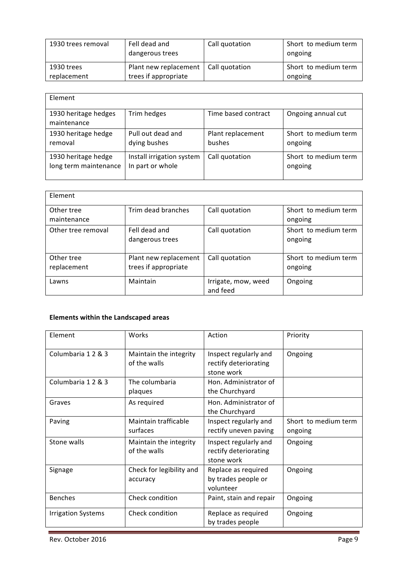| 1930 trees removal | Fell dead and<br>dangerous trees | Call quotation | Short to medium term<br>ongoing |
|--------------------|----------------------------------|----------------|---------------------------------|
| 1930 trees         | Plant new replacement            | Call quotation | Short to medium term            |
| replacement        | trees if appropriate             |                | ongoing                         |

| Element                             |                           |                     |                      |
|-------------------------------------|---------------------------|---------------------|----------------------|
| 1930 heritage hedges<br>maintenance | Trim hedges               | Time based contract | Ongoing annual cut   |
| 1930 heritage hedge                 | Pull out dead and         | Plant replacement   | Short to medium term |
| removal                             | dying bushes              | bushes              | ongoing              |
| 1930 heritage hedge                 | Install irrigation system | Call quotation      | Short to medium term |
| long term maintenance               | In part or whole          |                     | ongoing              |

| Element                   |                                               |                                 |                                 |
|---------------------------|-----------------------------------------------|---------------------------------|---------------------------------|
| Other tree<br>maintenance | Trim dead branches                            | Call quotation                  | Short to medium term<br>ongoing |
| Other tree removal        | Fell dead and<br>dangerous trees              | Call quotation                  | Short to medium term<br>ongoing |
| Other tree<br>replacement | Plant new replacement<br>trees if appropriate | Call quotation                  | Short to medium term<br>ongoing |
| Lawns                     | Maintain                                      | Irrigate, mow, weed<br>and feed | Ongoing                         |

## **Elements within the Landscaped areas**

| Element                   | Works                                  | Action                                                       | Priority                        |
|---------------------------|----------------------------------------|--------------------------------------------------------------|---------------------------------|
| Columbaria 1 2 & 3        | Maintain the integrity<br>of the walls | Inspect regularly and<br>rectify deteriorating<br>stone work | Ongoing                         |
| Columbaria 1 2 & 3        | The columbaria<br>plaques              | Hon. Administrator of<br>the Churchyard                      |                                 |
| Graves                    | As required                            | Hon. Administrator of<br>the Churchyard                      |                                 |
| Paving                    | Maintain trafficable<br>surfaces       | Inspect regularly and<br>rectify uneven paving               | Short to medium term<br>ongoing |
| Stone walls               | Maintain the integrity<br>of the walls | Inspect regularly and<br>rectify deteriorating<br>stone work | Ongoing                         |
| Signage                   | Check for legibility and<br>accuracy   | Replace as required<br>by trades people or<br>volunteer      | Ongoing                         |
| <b>Benches</b>            | Check condition                        | Paint, stain and repair                                      | Ongoing                         |
| <b>Irrigation Systems</b> | Check condition                        | Replace as required<br>by trades people                      | Ongoing                         |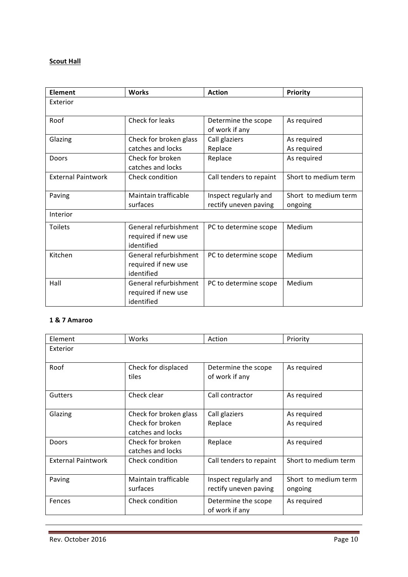# **Scout Hall**

| <b>Element</b>            | <b>Works</b>                                               | <b>Action</b>                                  | Priority                        |
|---------------------------|------------------------------------------------------------|------------------------------------------------|---------------------------------|
| Exterior                  |                                                            |                                                |                                 |
| Roof                      | Check for leaks                                            | Determine the scope<br>of work if any          | As required                     |
| Glazing                   | Check for broken glass<br>catches and locks                | Call glaziers<br>Replace                       | As required<br>As required      |
| Doors                     | Check for broken<br>catches and locks                      | Replace                                        | As required                     |
| <b>External Paintwork</b> | Check condition                                            | Call tenders to repaint                        | Short to medium term            |
| Paving                    | Maintain trafficable<br>surfaces                           | Inspect regularly and<br>rectify uneven paving | Short to medium term<br>ongoing |
| Interior                  |                                                            |                                                |                                 |
| <b>Toilets</b>            | General refurbishment<br>required if new use<br>identified | PC to determine scope                          | Medium                          |
| Kitchen                   | General refurbishment<br>required if new use<br>identified | PC to determine scope                          | Medium                          |
| Hall                      | General refurbishment<br>required if new use<br>identified | PC to determine scope                          | Medium                          |

## **1 & 7 Amaroo**

| Element                   | Works                                                           | Action                                         | Priority                        |
|---------------------------|-----------------------------------------------------------------|------------------------------------------------|---------------------------------|
| Exterior                  |                                                                 |                                                |                                 |
| Roof                      | Check for displaced<br>tiles                                    | Determine the scope<br>of work if any          | As required                     |
| <b>Gutters</b>            | Check clear                                                     | Call contractor                                | As required                     |
| Glazing                   | Check for broken glass<br>Check for broken<br>catches and locks | Call glaziers<br>Replace                       | As required<br>As required      |
| Doors                     | Check for broken<br>catches and locks                           | Replace                                        | As required                     |
| <b>External Paintwork</b> | Check condition                                                 | Call tenders to repaint                        | Short to medium term            |
| Paving                    | Maintain trafficable<br>surfaces                                | Inspect regularly and<br>rectify uneven paving | Short to medium term<br>ongoing |
| Fences                    | Check condition                                                 | Determine the scope<br>of work if any          | As required                     |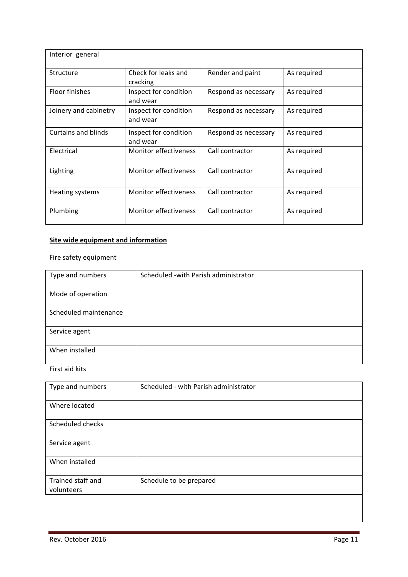| Interior general      |                                   |                      |             |
|-----------------------|-----------------------------------|----------------------|-------------|
| Structure             | Check for leaks and<br>cracking   | Render and paint     | As required |
| Floor finishes        | Inspect for condition<br>and wear | Respond as necessary | As required |
| Joinery and cabinetry | Inspect for condition<br>and wear | Respond as necessary | As required |
| Curtains and blinds   | Inspect for condition<br>and wear | Respond as necessary | As required |
| Electrical            | Monitor effectiveness             | Call contractor      | As required |
| Lighting              | Monitor effectiveness             | Call contractor      | As required |
| Heating systems       | Monitor effectiveness             | Call contractor      | As required |
| Plumbing              | Monitor effectiveness             | Call contractor      | As required |

## **Site wide equipment and information**

## Fire safety equipment

| Type and numbers      | Scheduled - with Parish administrator |
|-----------------------|---------------------------------------|
| Mode of operation     |                                       |
| Scheduled maintenance |                                       |
| Service agent         |                                       |
| When installed        |                                       |

First aid kits

| Type and numbers                | Scheduled - with Parish administrator |
|---------------------------------|---------------------------------------|
| Where located                   |                                       |
| Scheduled checks                |                                       |
| Service agent                   |                                       |
| When installed                  |                                       |
| Trained staff and<br>volunteers | Schedule to be prepared               |